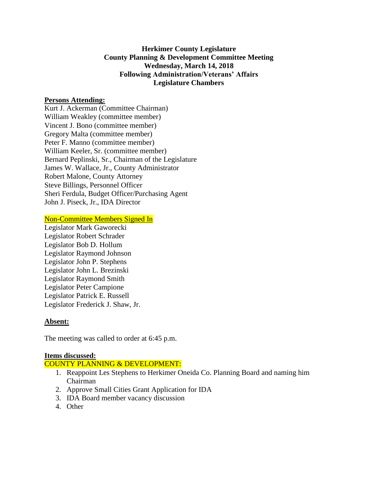### **Herkimer County Legislature County Planning & Development Committee Meeting Wednesday, March 14, 2018 Following Administration/Veterans' Affairs Legislature Chambers**

#### **Persons Attending:**

Kurt J. Ackerman (Committee Chairman) William Weakley (committee member) Vincent J. Bono (committee member) Gregory Malta (committee member) Peter F. Manno (committee member) William Keeler, Sr. (committee member) Bernard Peplinski, Sr., Chairman of the Legislature James W. Wallace, Jr., County Administrator Robert Malone, County Attorney Steve Billings, Personnel Officer Sheri Ferdula, Budget Officer/Purchasing Agent John J. Piseck, Jr., IDA Director

Non-Committee Members Signed In

Legislator Mark Gaworecki Legislator Robert Schrader Legislator Bob D. Hollum Legislator Raymond Johnson Legislator John P. Stephens Legislator John L. Brezinski Legislator Raymond Smith Legislator Peter Campione Legislator Patrick E. Russell Legislator Frederick J. Shaw, Jr.

#### **Absent:**

The meeting was called to order at 6:45 p.m.

#### **Items discussed:**

COUNTY PLANNING & DEVELOPMENT:

- 1. Reappoint Les Stephens to Herkimer Oneida Co. Planning Board and naming him Chairman
- 2. Approve Small Cities Grant Application for IDA
- 3. IDA Board member vacancy discussion
- 4. Other